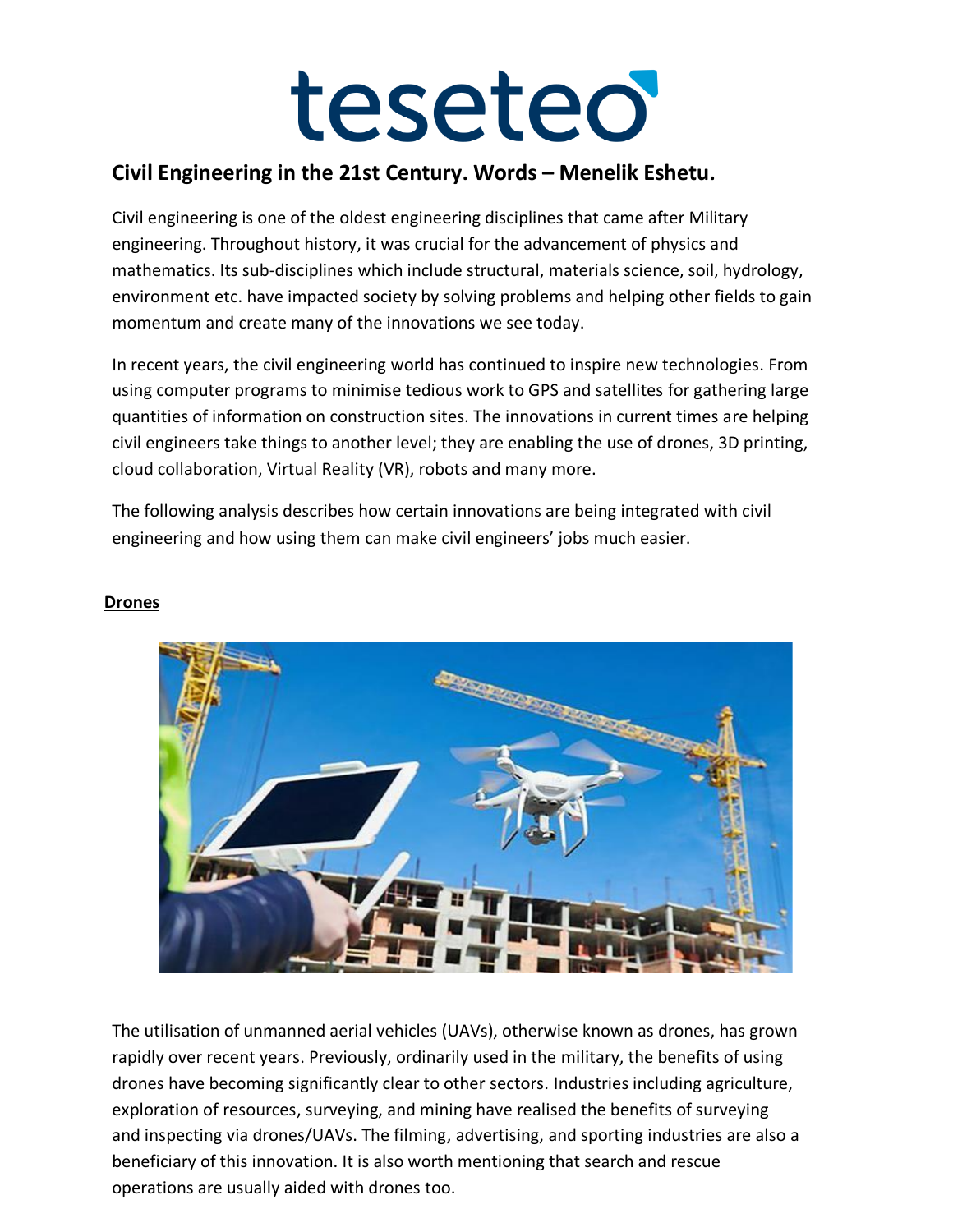#### **Civil Engineering in the 21st Century. Words – Menelik Eshetu.**

Civil engineering is one of the oldest engineering disciplines that came after Military engineering. Throughout history, it was crucial for the advancement of physics and mathematics. Its sub-disciplines which include structural, materials science, soil, hydrology, environment etc. have impacted society by solving problems and helping other fields to gain momentum and create many of the innovations we see today.

In recent years, the civil engineering world has continued to inspire new technologies. From using computer programs to minimise tedious work to GPS and satellites for gathering large quantities of information on construction sites. The innovations in current times are helping civil engineers take things to another level; they are enabling the use of drones, 3D printing, cloud collaboration, Virtual Reality (VR), robots and many more.

The following analysis describes how certain innovations are being integrated with civil engineering and how using them can make civil engineers' jobs much easier.



#### **Drones**

The utilisation of unmanned aerial vehicles (UAVs), otherwise known as drones, has grown rapidly over recent years. Previously, ordinarily used in the military, the benefits of using drones have becoming significantly clear to other sectors. Industries including agriculture, exploration of resources, surveying, and mining have realised the benefits of surveying and inspecting via drones/UAVs. The filming, advertising, and sporting industries are also a beneficiary of this innovation. It is also worth mentioning that search and rescue operations are usually aided with drones too.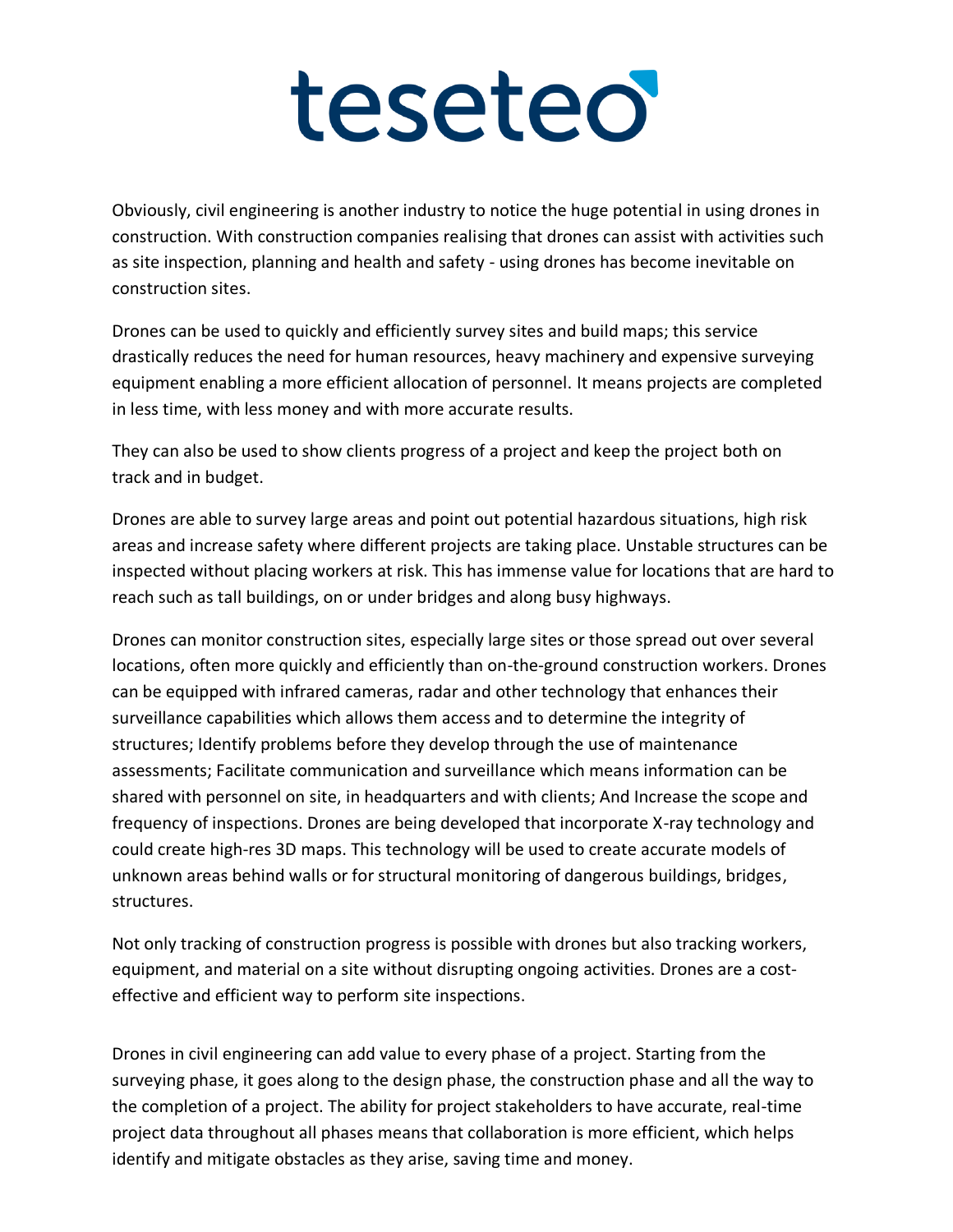Obviously, civil engineering is another industry to notice the huge potential in using drones in construction. With construction companies realising that drones can assist with activities such as site inspection, planning and health and safety - using drones has become inevitable on construction sites.

Drones can be used to quickly and efficiently survey sites and build maps; this service drastically reduces the need for human resources, heavy machinery and expensive surveying equipment enabling a more efficient allocation of personnel. It means projects are completed in less time, with less money and with more accurate results.

They can also be used to show clients progress of a project and keep the project both on track and in budget.

Drones are able to survey large areas and point out potential hazardous situations, high risk areas and increase safety where different projects are taking place. Unstable structures can be inspected without placing workers at risk. This has immense value for locations that are hard to reach such as tall buildings, on or under bridges and along busy highways.

Drones can monitor construction sites, especially large sites or those spread out over several locations, often more quickly and efficiently than on-the-ground construction workers. Drones can be equipped with infrared cameras, radar and other technology that enhances their surveillance capabilities which allows them access and to determine the integrity of structures; Identify problems before they develop through the use of maintenance assessments; Facilitate communication and surveillance which means information can be shared with personnel on site, in headquarters and with clients; And Increase the scope and frequency of inspections. Drones are being developed that incorporate X-ray technology and could create high-res 3D maps. This technology will be used to create accurate models of unknown areas behind walls or for structural monitoring of dangerous buildings, bridges, structures.

Not only tracking of construction progress is possible with drones but also tracking workers, equipment, and material on a site without disrupting ongoing activities. Drones are a costeffective and efficient way to perform site inspections.

Drones in civil engineering can add value to every phase of a project. Starting from the surveying phase, it goes along to the design phase, the construction phase and all the way to the completion of a project. The ability for project stakeholders to have accurate, real-time project data throughout all phases means that collaboration is more efficient, which helps identify and mitigate obstacles as they arise, saving time and money.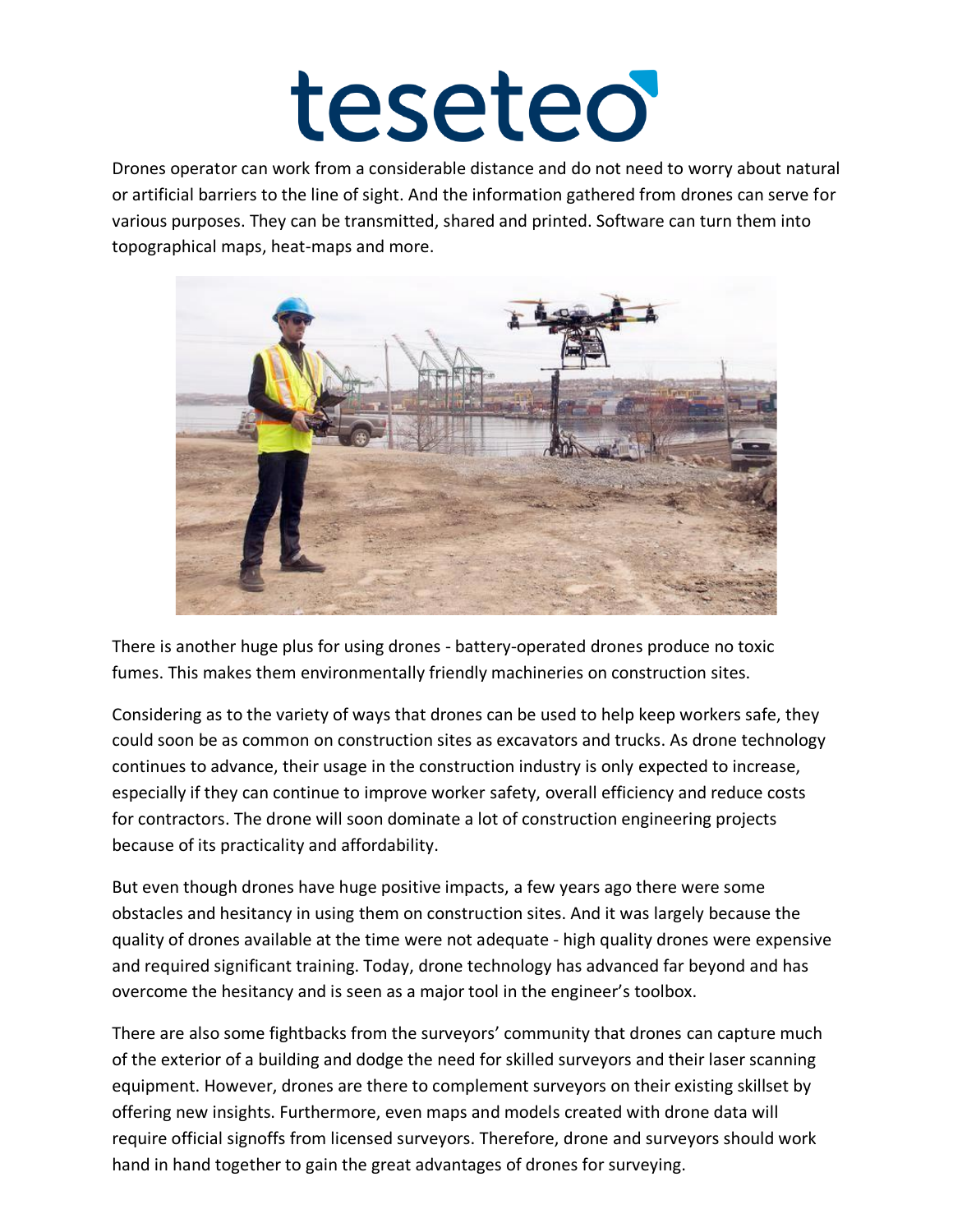Drones operator can work from a considerable distance and do not need to worry about natural or artificial barriers to the line of sight. And the information gathered from drones can serve for various purposes. They can be transmitted, shared and printed. Software can turn them into topographical maps, heat-maps and more.



There is another huge plus for using drones - battery-operated drones produce no toxic fumes. This makes them environmentally friendly machineries on construction sites.

Considering as to the variety of ways that drones can be used to help keep workers safe, they could soon be as common on construction sites as excavators and trucks. As drone technology continues to advance, their usage in the construction industry is only expected to increase, especially if they can continue to improve worker safety, overall efficiency and reduce costs for contractors. The drone will soon dominate a lot of construction engineering projects because of its practicality and affordability.

But even though drones have huge positive impacts, a few years ago there were some obstacles and hesitancy in using them on construction sites. And it was largely because the quality of drones available at the time were not adequate - high quality drones were expensive and required significant training. Today, drone technology has advanced far beyond and has overcome the hesitancy and is seen as a major tool in the engineer's toolbox.

There are also some fightbacks from the surveyors' community that drones can capture much of the exterior of a building and dodge the need for skilled surveyors and their laser scanning equipment. However, drones are there to complement surveyors on their existing skillset by offering new insights. Furthermore, even maps and models created with drone data will require official signoffs from licensed surveyors. Therefore, drone and surveyors should work hand in hand together to gain the great advantages of drones for surveying.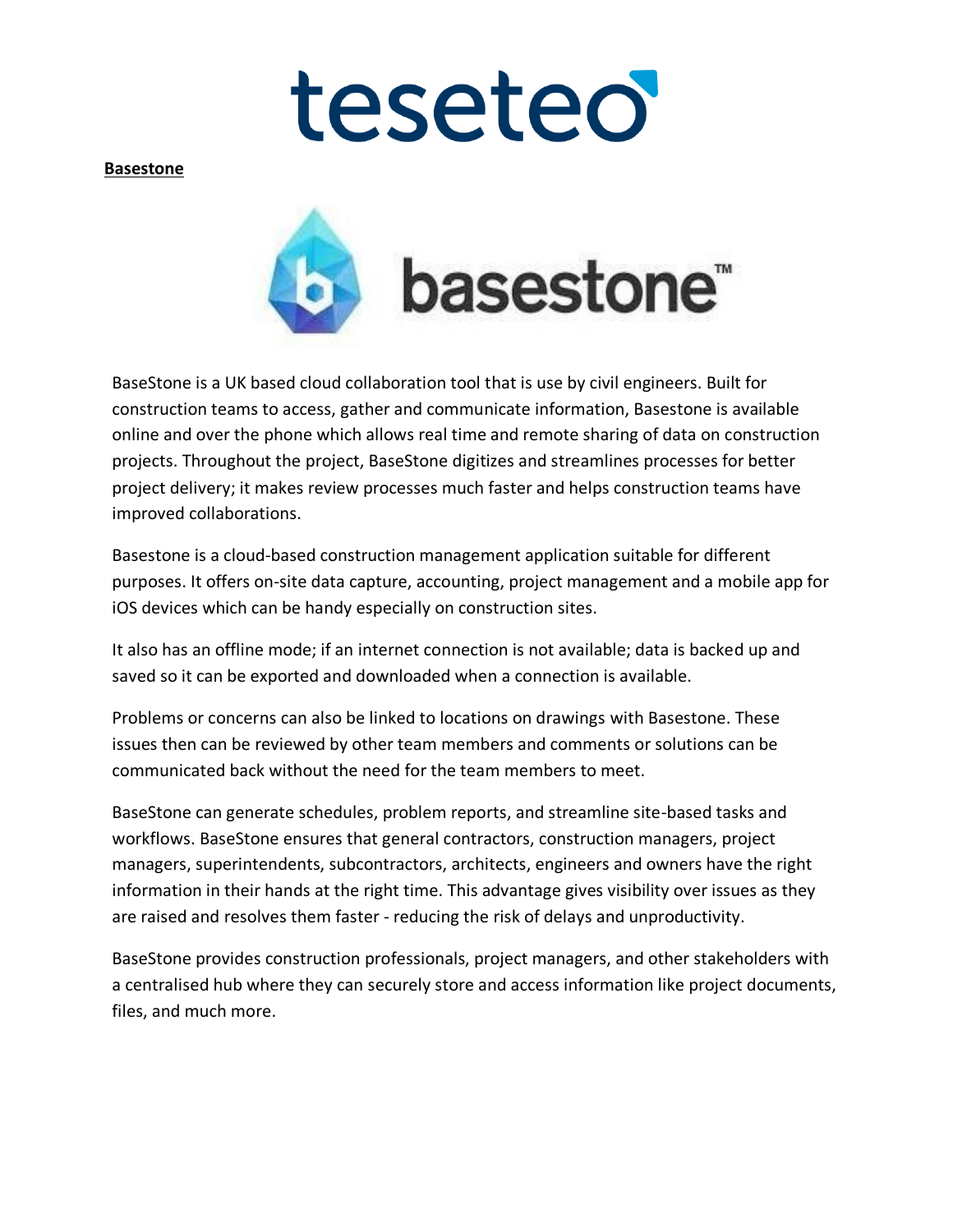**Basestone**



BaseStone is a UK based cloud collaboration tool that is use by civil engineers. Built for construction teams to access, gather and communicate information, Basestone is available online and over the phone which allows real time and remote sharing of data on construction projects. Throughout the project, BaseStone digitizes and streamlines processes for better project delivery; it makes review processes much faster and helps construction teams have improved collaborations.

Basestone is a cloud-based construction management application suitable for different purposes. It offers on-site data capture, accounting, project management and a mobile app for iOS devices which can be handy especially on construction sites.

It also has an offline mode; if an internet connection is not available; data is backed up and saved so it can be exported and downloaded when a connection is available.

Problems or concerns can also be linked to locations on drawings with Basestone. These issues then can be reviewed by other team members and comments or solutions can be communicated back without the need for the team members to meet.

BaseStone can generate schedules, problem reports, and streamline site-based tasks and workflows. BaseStone ensures that general contractors, construction managers, project managers, superintendents, subcontractors, architects, engineers and owners have the right information in their hands at the right time. This advantage gives visibility over issues as they are raised and resolves them faster - reducing the risk of delays and unproductivity.

BaseStone provides construction professionals, project managers, and other stakeholders with a centralised hub where they can securely store and access information like project documents, files, and much more.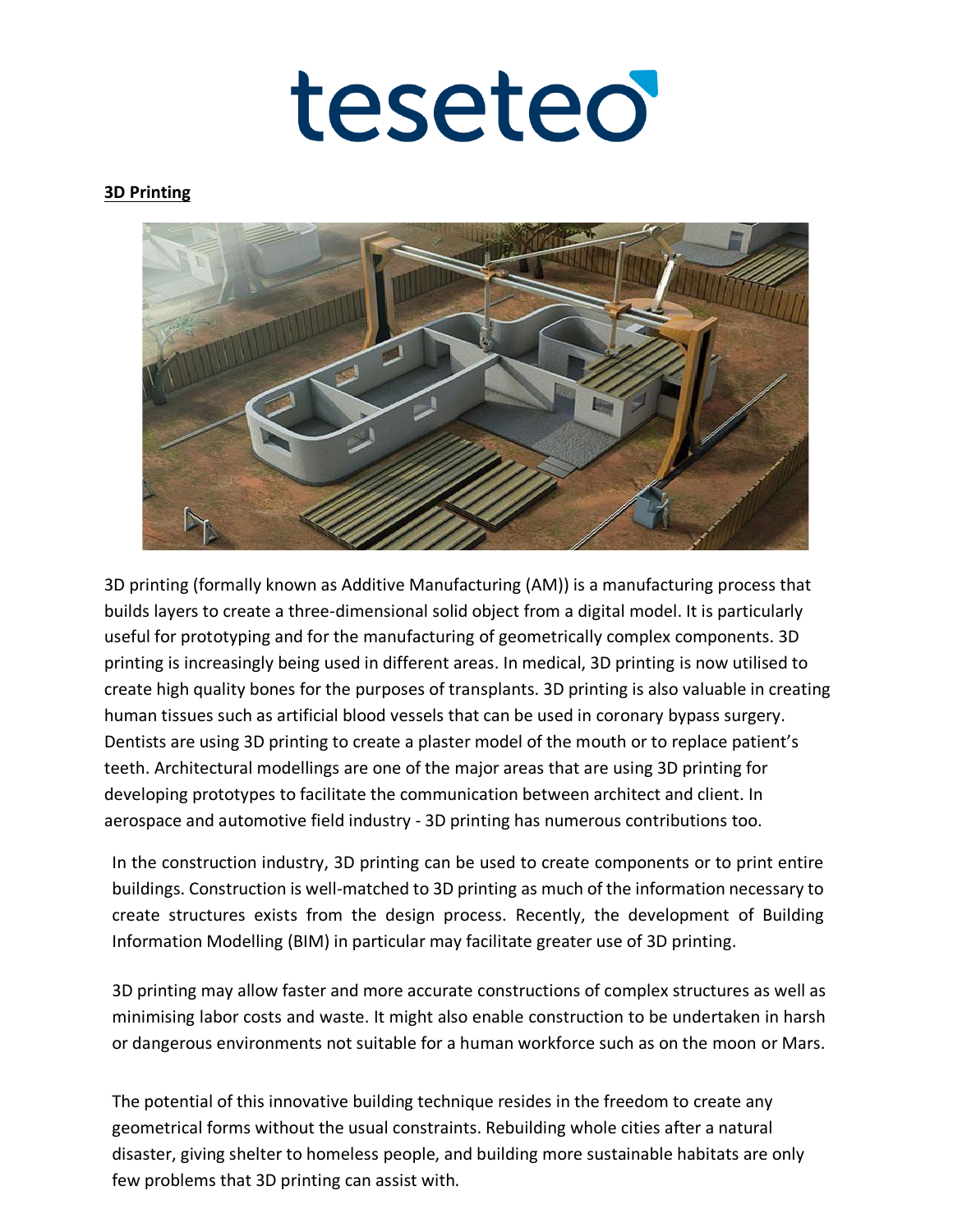teseteo

#### **3D Printing**



3D printing (formally known as Additive Manufacturing (AM)) is a manufacturing process that builds layers to create a three-dimensional solid object from a digital model. It is particularly useful for prototyping and for the [manufacturing o](https://www.designingbuildings.co.uk/wiki/Manufacture)f geometrically complex [components.](https://www.designingbuildings.co.uk/wiki/Component) 3D printing is increasingly being used in different areas. In medical, 3D printing is now utilised to create high quality bones for the purposes of transplants. 3D printing is also valuable in creating human tissues such as artificial blood vessels that can be used in coronary bypass surgery. Dentists are using 3D printing to create a plaster model of the mouth or to replace patient's teeth. Architectural modellings are one of the major areas that are using 3D printing for developing prototypes to facilitate the communication between architect and client. In aerospace and automotive field industry - 3D printing has numerous contributions too.

In the [construction industry,](https://www.designingbuildings.co.uk/wiki/Construction_industry) [3D printing c](https://www.designingbuildings.co.uk/wiki/3d_printing)an be used to create [components o](https://www.designingbuildings.co.uk/wiki/Component)r to print entire [buildings.](https://www.designingbuildings.co.uk/wiki/Building) [Construction i](https://www.designingbuildings.co.uk/wiki/Construction)s well-matched to [3D printing a](https://www.designingbuildings.co.uk/wiki/3d_printing)s much of the information necessary to create structures exists from the design process. Recently, the development of [Building](https://www.designingbuildings.co.uk/wiki/Building_Information_Modelling)  [Information Modelling](https://www.designingbuildings.co.uk/wiki/Building_Information_Modelling) [\(BIM\)](https://www.designingbuildings.co.uk/wiki/Bim) in particular may facilitate greater use of [3D printing.](https://www.designingbuildings.co.uk/wiki/3d_printing)

[3D printing m](https://www.designingbuildings.co.uk/wiki/3d_printing)ay allow faster and more accurate [constructions](https://www.designingbuildings.co.uk/wiki/Construction) of complex structures as well as minimising [labor](https://www.designingbuildings.co.uk/wiki/Labour) [costs a](https://www.designingbuildings.co.uk/wiki/Cost)nd [waste.](https://www.designingbuildings.co.uk/wiki/Waste) It might also enable [construction t](https://www.designingbuildings.co.uk/wiki/Construction)o be undertaken in harsh or dangerous [environments n](https://www.designingbuildings.co.uk/wiki/Environment)ot suitable for a human workforce such as on the moon or Mars.

The potential of this innovative building technique resides in the freedom to create any geometrical forms without the usual constraints. Rebuilding whole cities after a natural disaster, giving shelter to homeless people, and building more sustainable habitats are only few problems that 3D printing can assist with.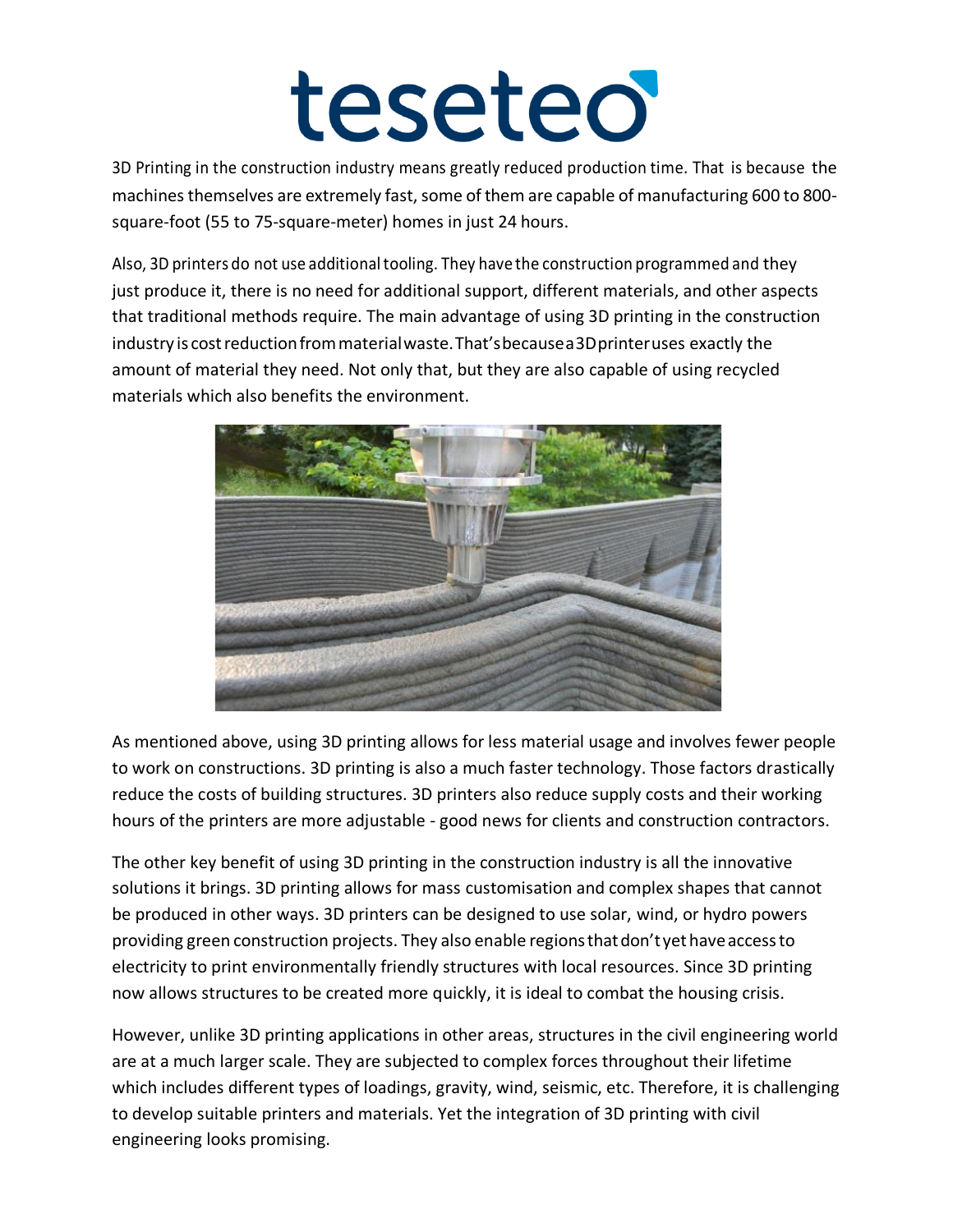3D Printing in the construction industry means greatly reduced production time. That is because the machines themselves are extremely fast, some of them are capable of manufacturing 600 to 800 square-foot (55 to 75-square-meter) homes in just 24 hours.

Also, 3D printers do not use additional tooling. They have the construction programmed and they just produce it, there is no need for additional support, different materials, and other aspects that traditional methods require. The main advantage of using 3D printing in the construction industry is costreductionfrommaterialwaste.That'sbecausea3Dprinteruses exactly the amount of material they need. Not only that, but they are also capable of using recycled materials which also benefits the environment.



As mentioned above, using 3D printing allows for less material usage and involves fewer people to work on constructions. 3D printing is also a much faster technology. Those factors drastically reduce the costs of building structures. 3D printers also reduce supply costs and their working hours of the printers are more adjustable - good news for clients and construction contractors.

The other key benefit of using 3D printing in the construction industry is all the innovative solutions it brings. 3D printing allows for mass customisation and complex shapes that cannot be produced in other ways. 3D printers can be designed to use solar, wind, or hydro powers providing green construction projects. They also enable regionsthatdon'tyethaveaccessto electricity to print environmentally friendly structures with local resources. Since 3D printing now allows structures to be created more quickly, it is ideal to combat the housing crisis.

However, unlike 3D printing applications in other areas, structures in the civil engineering world are at a much larger scale. They are subjected to complex forces throughout their lifetime which includes different types of loadings, gravity, wind, seismic, etc. Therefore, it is challenging to develop suitable printers and materials. Yet the integration of 3D printing with civil engineering looks promising.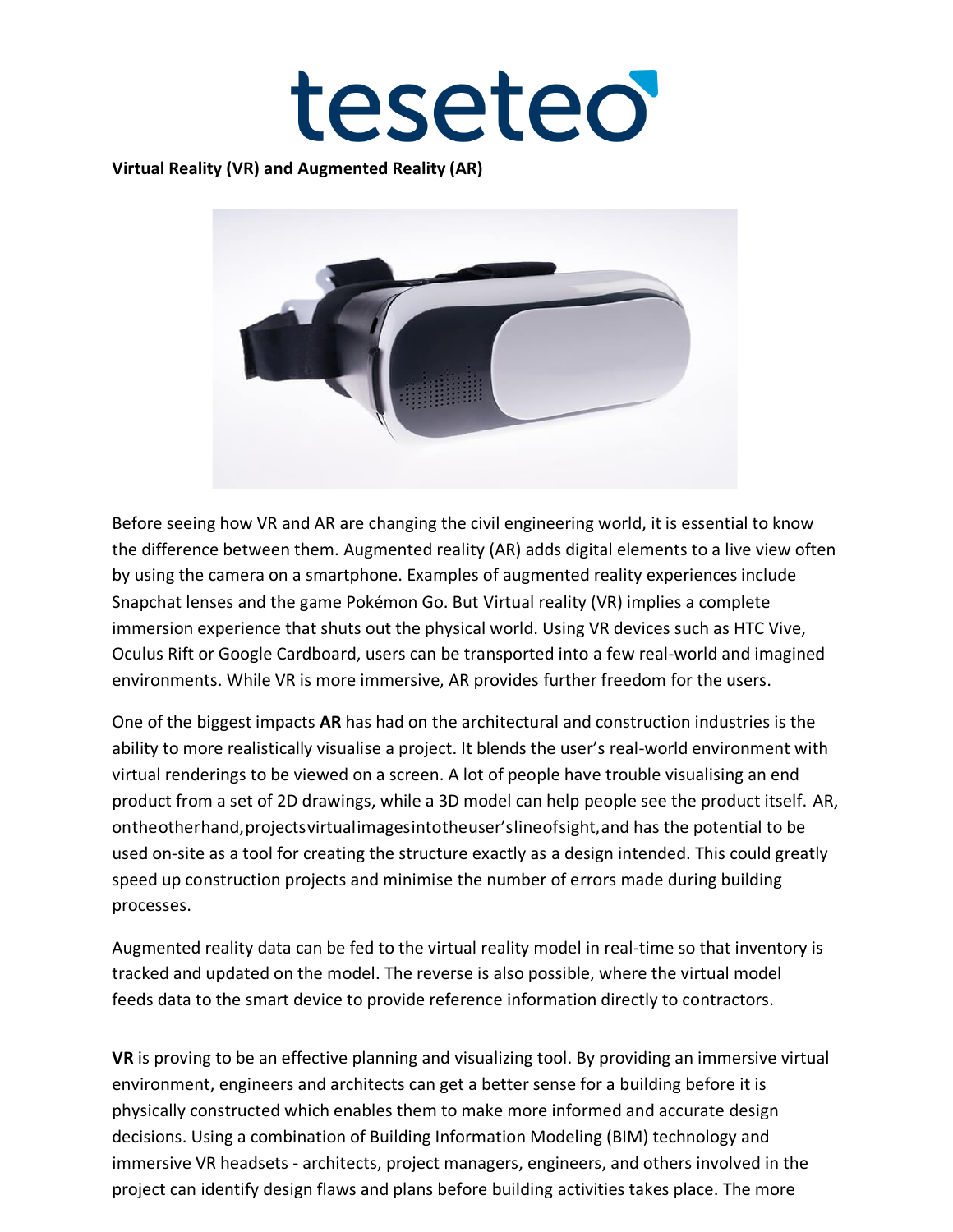teseteo

#### **Virtual Reality (VR) and Augmented Reality (AR)**



Before seeing how VR and AR are changing the civil engineering world, it is essential to know the difference between them. [Augmented reality \(AR\) a](https://www.fi.edu/augmented-reality)dds digital elements to a live view often by using the camera on a smartphone. Examples of augmented reality experiences include Snapchat lenses and the game Pokémon Go. But [Virtual reality \(VR\) i](https://www.fi.edu/virtual-reality)mplies a complete immersion experience that shuts out the physical world. Using VR devices such as HTC Vive, Oculus Rift or Google Cardboard, users can be transported into a few real-world and imagined environments. While VR is more immersive, AR provides further freedom for the users.

One of the biggest impacts **AR** has had on the architectural and construction industries is the ability to more realistically visualise a project. It blends the user's real-world environment with virtual renderings to be viewed on a screen. A lot of people have trouble visualising an end product from a set of 2D drawings, while a 3D model can help people see the product itself. AR, ontheotherhand,projectsvirtualimagesintotheuser'slineofsight,and has the potential to be used on-site as a tool for creating the structure exactly as a design intended. This could greatly speed up construction projects and minimise the number of errors made during building processes.

Augmented reality data can be fed to the virtual reality model in real-time so that inventory is tracked and updated on the model. The reverse is also possible, where the virtual model feeds data to the smart device to provide reference information directly to contractors.

**VR** is proving to be an effective planning and visualizing tool. By providing an immersive virtual environment, engineers and architects can get a better sense for a building before it is physically constructed which enables them to make more informed and accurate design decisions. Using a combination of Building Information Modeling (BIM) technology and immersive VR headsets - architects, project managers, engineers, and others involved in the project can identify design flaws and plans before building activities takes place. The more